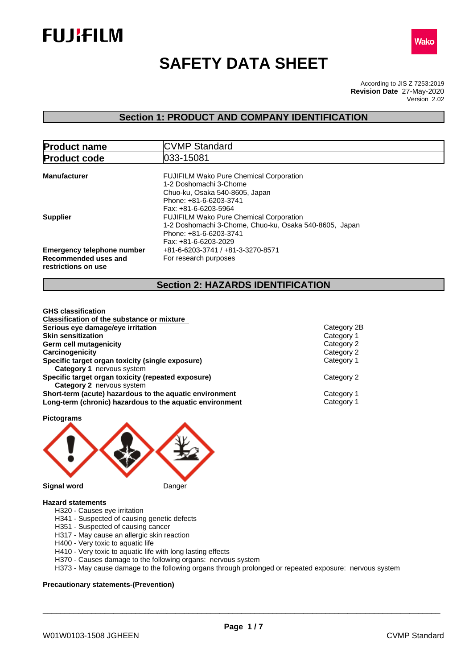



# **SAFETY DATA SHEET**

According to JIS Z 7253:2019 Version 2.02 **Revision Date** 27-May-2020

## **Section 1: PRODUCT AND COMPANY IDENTIFICATION**

| <b>Product name</b>                                                              | <b>CVMP Standard</b>                                                                                                                                         |
|----------------------------------------------------------------------------------|--------------------------------------------------------------------------------------------------------------------------------------------------------------|
| <b>Product code</b>                                                              | 033-15081                                                                                                                                                    |
| <b>Manufacturer</b>                                                              | <b>FUJIFILM Wako Pure Chemical Corporation</b><br>1-2 Doshomachi 3-Chome<br>Chuo-ku, Osaka 540-8605, Japan<br>Phone: +81-6-6203-3741<br>Fax: +81-6-6203-5964 |
| <b>Supplier</b>                                                                  | <b>FUJIFILM Wako Pure Chemical Corporation</b><br>1-2 Doshomachi 3-Chome, Chuo-ku, Osaka 540-8605, Japan<br>Phone: +81-6-6203-3741<br>Fax: +81-6-6203-2029   |
| <b>Emergency telephone number</b><br>Recommended uses and<br>restrictions on use | +81-6-6203-3741 / +81-3-3270-8571<br>For research purposes                                                                                                   |

## **Section 2: HAZARDS IDENTIFICATION**

| Classification of the substance or mixture<br>Category 2B<br>Serious eye damage/eye irritation<br><b>Skin sensitization</b> | <b>GHS</b> classification |            |
|-----------------------------------------------------------------------------------------------------------------------------|---------------------------|------------|
|                                                                                                                             |                           |            |
|                                                                                                                             |                           |            |
|                                                                                                                             |                           | Category 1 |
| Category 2<br>Germ cell mutagenicity                                                                                        |                           |            |
| Carcinogenicity<br>Category 2                                                                                               |                           |            |
| Specific target organ toxicity (single exposure)<br>Category 1                                                              |                           |            |
| <b>Category 1 nervous system</b>                                                                                            |                           |            |
| Specific target organ toxicity (repeated exposure)<br>Category 2                                                            |                           |            |
| <b>Category 2</b> nervous system                                                                                            |                           |            |
| Short-term (acute) hazardous to the aquatic environment<br>Category 1                                                       |                           |            |
| Long-term (chronic) hazardous to the aquatic environment<br>Category 1                                                      |                           |            |

**Pictograms**



#### **Hazard statements**

- H320 Causes eye irritation
- H341 Suspected of causing genetic defects
- H351 Suspected of causing cancer
- H317 May cause an allergic skin reaction
- H400 Very toxic to aquatic life
- H410 Very toxic to aquatic life with long lasting effects
- H370 Causes damage to the following organs: nervous system

H373 - May cause damage to the following organs through prolonged or repeated exposure: nervous system

#### **Precautionary statements-(Prevention)**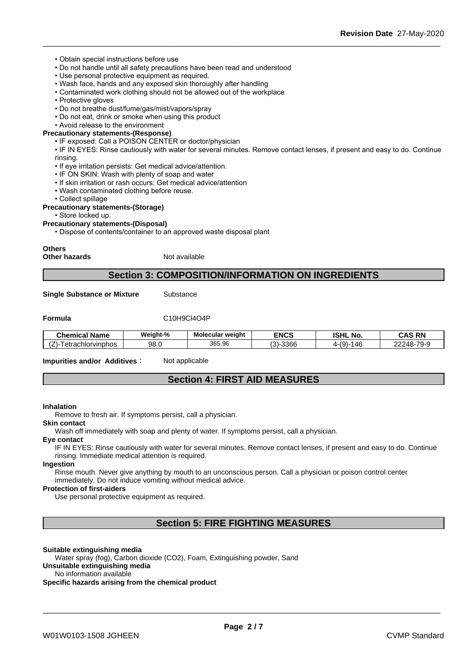#### • Obtain special instructions before use

- Do not handle until all safety precautions have been read and understood
- Use personal protective equipment as required.
- Wash face, hands and any exposed skin thoroughly after handling
- Contaminated work clothing should not be allowed out of the workplace
- Protective gloves
- Do not breathe dust/fume/gas/mist/vapors/spray
- Do not eat, drink or smoke when using this product

#### • Avoid release to the environment **Precautionary statements-(Response)**

- IF exposed: Call a POISON CENTER or doctor/physician
- IF IN EYES: Rinse cautiously with water for several minutes. Remove contact lenses, if present and easy to do. Continue rinsing.
- If eye irritation persists: Get medical advice/attention.
- IF ON SKIN: Wash with plenty of soap and water
- If skin irritation or rash occurs: Get medical advice/attention
- Wash contaminated clothing before reuse.
- Collect spillage

#### **Precautionary statements-(Storage)**

• Store locked up.

#### **Precautionary statements-(Disposal)**

• Dispose of contents/container to an approved waste disposal plant

## **Others**

**Other hazards** Not available

### **Section 3: COMPOSITION/INFORMATION ON INGREDIENTS**

**Single Substance or Mixture** Substance

### **Formula** C10H9Cl4O4P

| Chemical<br>' Name                                         | Weight-% | Molecular weight | <b>ENCS</b>     | <b>ISHL</b><br>No.                        | <b>CAS RN</b>  |
|------------------------------------------------------------|----------|------------------|-----------------|-------------------------------------------|----------------|
| $\rightarrow$<br>achlorvinphos <sup>.</sup><br>$  -$<br>av | 98.G     | 365<br>365.96    | -3366<br>$\sim$ | $(\Omega)$<br>$\overline{1}$<br>. ו<br>۰. | 22248-<br>79-9 |

#### **Impurities and/or Additives**: Not applicable

## **Section 4: FIRST AID MEASURES**

#### **Inhalation**

Remove to fresh air. If symptoms persist, call a physician.

#### **Skin contact**

Wash off immediately with soap and plenty of water. If symptoms persist, call a physician.

#### **Eye contact**

IF IN EYES: Rinse cautiously with water for several minutes. Remove contact lenses, if present and easy to do. Continue rinsing. Immediate medical attention is required.

#### **Ingestion**

Rinse mouth. Never give anything by mouth to an unconscious person. Call a physician or poison control center immediately. Do not induce vomiting without medical advice.

#### **Protection of first-aiders**

Use personal protective equipment as required.

## **Section 5: FIRE FIGHTING MEASURES**

#### **Suitable extinguishing media**

Water spray (fog), Carbon dioxide (CO2), Foam, Extinguishing powder, Sand **Unsuitable extinguishing media**

#### No information available

**Specific hazards arising from the chemical product**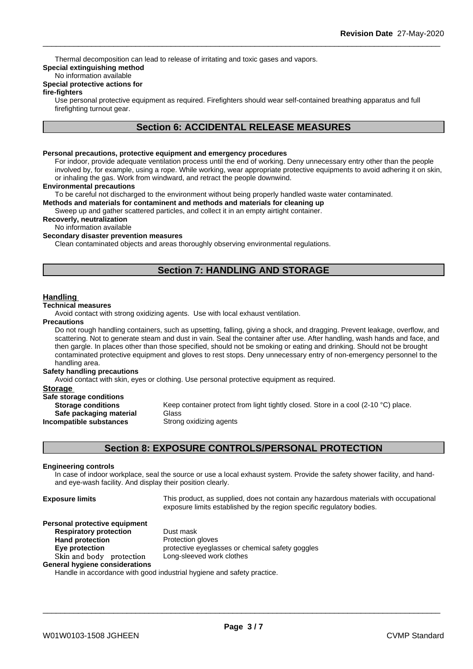Thermal decomposition can lead to release of irritating and toxic gases and vapors.

## **Special extinguishing method**

## No information available

## **Special protective actions for**

#### **fire-fighters**

Use personal protective equipment as required.Firefighters should wear self-contained breathing apparatus and full firefighting turnout gear.

## **Section 6: ACCIDENTAL RELEASE MEASURES**

#### **Personal precautions, protective equipment and emergency procedures**

For indoor, provide adequate ventilation process until the end of working. Deny unnecessary entry other than the people involved by, for example, using a rope. While working, wear appropriate protective equipments to avoid adhering it on skin, or inhaling the gas. Work from windward, and retract the people downwind.

#### **Environmental precautions**

To be careful not discharged to the environment without being properly handled waste water contaminated.

**Methods and materials for contaminent and methods and materials for cleaning up**

Sweep up and gather scattered particles, and collect it in an empty airtight container.

#### **Recoverly, neutralization**

No information available

#### **Secondary disaster prevention measures**

Clean contaminated objects and areas thoroughly observing environmental regulations.

## **Section 7: HANDLING AND STORAGE**

#### **Handling**

#### **Technical measures**

Avoid contact with strong oxidizing agents. Use with local exhaust ventilation.

#### **Precautions**

Do not rough handling containers, such as upsetting, falling, giving a shock, and dragging. Prevent leakage, overflow, and scattering. Not to generate steam and dust in vain. Seal the container after use. After handling, wash hands and face, and then gargle. In places other than those specified, should not be smoking or eating and drinking. Should not be brought contaminated protective equipment and gloves to rest stops. Deny unnecessary entry of non-emergency personnel to the handling area.

#### **Safety handling precautions**

Avoid contact with skin, eyes or clothing. Use personal protective equipment as required.

#### **Storage**

| Safe storage conditions   |             |
|---------------------------|-------------|
| <b>Storage conditions</b> | Keep conta  |
| Safe packaging material   | Glass       |
| Incompatible substances   | Strong oxid |

**Storage Keep container protect from light tightly closed. Store in a cool (2-10 °C) place.<br>
<b>I Safe packaging material** Glass **Strong oxidizing agents** 

## **Section 8: EXPOSURE CONTROLS/PERSONAL PROTECTION**

#### **Engineering controls**

In case of indoor workplace, seal the source or use a local exhaust system. Provide the safety shower facility, and handand eye-wash facility. And display their position clearly.

**Exposure limits** This product, as supplied, does not contain any hazardous materials with occupational exposure limits established by the region specific regulatory bodies.

\_\_\_\_\_\_\_\_\_\_\_\_\_\_\_\_\_\_\_\_\_\_\_\_\_\_\_\_\_\_\_\_\_\_\_\_\_\_\_\_\_\_\_\_\_\_\_\_\_\_\_\_\_\_\_\_\_\_\_\_\_\_\_\_\_\_\_\_\_\_\_\_\_\_\_\_\_\_\_\_\_\_\_\_\_\_\_\_\_\_

#### **Personal protective equipment**

**Respiratory protection** Dust mask **Hand protection** Protection gloves **Skinandbody protection** Long-sleeved work clothes **General hygiene considerations**

**Eye protection Eye protective eyeglasses or chemical safety goggles** 

Handle in accordance with good industrial hygiene and safety practice.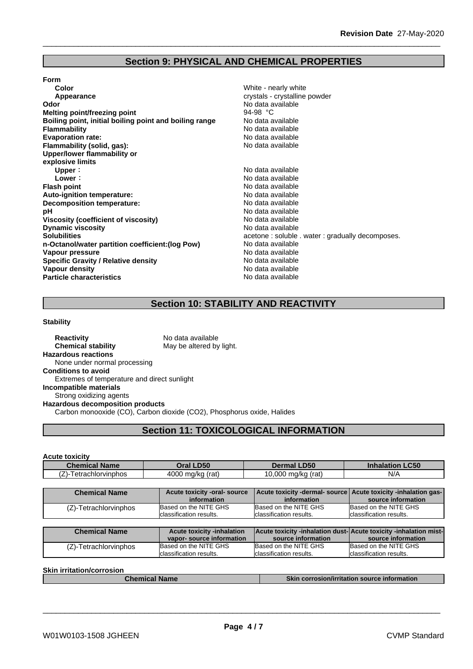## **Section 9: PHYSICAL AND CHEMICAL PROPERTIES**

| Color                                                  | White - nearly white                     |
|--------------------------------------------------------|------------------------------------------|
| Appearance                                             | crystals - crystalline powder            |
| Odor                                                   | No data available                        |
| <b>Melting point/freezing point</b>                    | 94-98 °C                                 |
| Boiling point, initial boiling point and boiling range | No data available                        |
| <b>Flammability</b>                                    | No data available                        |
| <b>Evaporation rate:</b>                               | No data available                        |
| Flammability (solid, gas):                             | No data available                        |
| Upper/lower flammability or                            |                                          |
| explosive limits                                       |                                          |
| Upper:                                                 | No data available                        |
| Lower:                                                 | No data available                        |
| <b>Flash point</b>                                     | No data available                        |
| Auto-ignition temperature:                             | No data available                        |
| <b>Decomposition temperature:</b>                      | No data available                        |
| рH                                                     | No data available                        |
| Viscosity (coefficient of viscosity)                   | No data available                        |
| <b>Dynamic viscosity</b>                               | No data available                        |
| <b>Solubilities</b>                                    | acetone: soluble . water: gradually deco |
| n-Octanol/water partition coefficient: (log Pow)       | No data available                        |
| Vapour pressure                                        | No data available                        |
| <b>Specific Gravity / Relative density</b>             | No data available                        |
| Vapour density                                         | No data available                        |
| <b>Particle characteristics</b>                        | No data available                        |
|                                                        |                                          |

**Abaubis - crystalline powder** data available<br>-98 °C **Boiling point, initial boiling point and boiling range** No data available data available **Evaporation rate:** No data available **Flammability (solid, gas):** No data available **Upper:** No data available **Lower:** No data available data available **Auto-ignition temperature:** No data available data available data available **Viscosity (coefficient of viscosity)** No data available **Dynamic viscosity** No data available etone : soluble . water : gradually decomposes. **n-Octanol/water partition coefficient:(log Pow)** No data available data available **Specific Gravity / Relative density** No data available data available **Particle characteristics** No data available

## **Section 10: STABILITY AND REACTIVITY**

#### **Stability**

| <b>Reactivity</b>                           | No data available                                                      |
|---------------------------------------------|------------------------------------------------------------------------|
| <b>Chemical stability</b>                   | May be altered by light.                                               |
| <b>Hazardous reactions</b>                  |                                                                        |
| None under normal processing                |                                                                        |
| <b>Conditions to avoid</b>                  |                                                                        |
| Extremes of temperature and direct sunlight |                                                                        |
| Incompatible materials                      |                                                                        |
| Strong oxidizing agents                     |                                                                        |
| <b>Hazardous decomposition products</b>     |                                                                        |
|                                             | Carbon monooxide (CO), Carbon dioxide (CO2), Phosphorus oxide, Halides |

## **Section 11: TOXICOLOGICAL INFORMATION**

#### **Acute toxicity**

| <b>Chemical N</b>                  | <b>D50</b>              | <b>LD50</b>                       | .C50              |
|------------------------------------|-------------------------|-----------------------------------|-------------------|
| <b>Name</b>                        | )ral                    | Dermal                            | <b>Inhalation</b> |
| --<br>I etrachlorvinphos<br>$\sim$ | 4000<br>, ma/ka<br>(rat | 0.000<br>$\sim$<br>ma/ka<br>(rati | N/A               |

| <b>Chemical Name</b>  | Acute toxicity -oral- source | Acute toxicity -dermal- source Acute toxicity -inhalation gas- |                          |
|-----------------------|------------------------------|----------------------------------------------------------------|--------------------------|
|                       | information                  | information                                                    | source information       |
| (Z)-Tetrachlorvinphos | Based on the NITE GHS        | Based on the NITE GHS                                          | Based on the NITE GHS    |
|                       | classification results.      | Iclassification results.                                       | Iclassification results. |

| <b>Chemical Name</b>  | <b>Acute toxicity -inhalation</b> | <b>Acute toxicity -inhalation dust-Acute toxicity -inhalation mist-</b> |                          |
|-----------------------|-----------------------------------|-------------------------------------------------------------------------|--------------------------|
|                       | vapor-source information          | source information                                                      | source information       |
| (Z)-Tetrachlorvinphos | Based on the NITE GHS             | Based on the NITE GHS                                                   | Based on the NITE GHS    |
|                       | Iclassification results.          | Iclassification results.                                                | Iclassification results. |

#### **Skin irritation/corrosion**

| <b>Chemical Name</b> | <b>Skin corrosion/irritation source information</b> |
|----------------------|-----------------------------------------------------|
|                      |                                                     |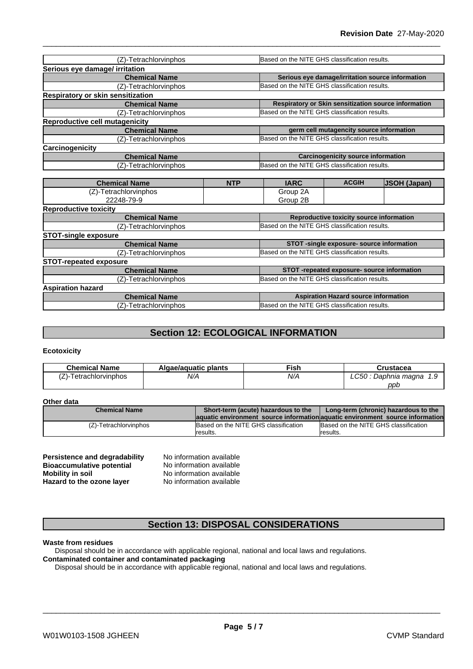| (Z)-Tetrachlorvinphos             |            | Based on the NITE GHS classification results. |                                                  |                                                      |  |
|-----------------------------------|------------|-----------------------------------------------|--------------------------------------------------|------------------------------------------------------|--|
| Serious eye damage/ irritation    |            |                                               |                                                  |                                                      |  |
| <b>Chemical Name</b>              |            |                                               | Serious eye damage/irritation source information |                                                      |  |
| (Z)-Tetrachlorvinphos             |            | Based on the NITE GHS classification results. |                                                  |                                                      |  |
| Respiratory or skin sensitization |            |                                               |                                                  |                                                      |  |
| <b>Chemical Name</b>              |            |                                               |                                                  | Respiratory or Skin sensitization source information |  |
| (Z)-Tetrachlorvinphos             |            | Based on the NITE GHS classification results. |                                                  |                                                      |  |
| Reproductive cell mutagenicity    |            |                                               |                                                  |                                                      |  |
| <b>Chemical Name</b>              |            |                                               | germ cell mutagencity source information         |                                                      |  |
| (Z)-Tetrachlorvinphos             |            | Based on the NITE GHS classification results. |                                                  |                                                      |  |
| Carcinogenicity                   |            |                                               |                                                  |                                                      |  |
| <b>Chemical Name</b>              |            |                                               | <b>Carcinogenicity source information</b>        |                                                      |  |
| (Z)-Tetrachlorvinphos             |            | Based on the NITE GHS classification results. |                                                  |                                                      |  |
|                                   |            |                                               |                                                  |                                                      |  |
| <b>Chemical Name</b>              | <b>NTP</b> | <b>IARC</b>                                   | <b>ACGIH</b>                                     | <b>JSOH (Japan)</b>                                  |  |
| (Z)-Tetrachlorvinphos             |            | Group 2A                                      |                                                  |                                                      |  |
| 22248-79-9                        |            | Group 2B                                      |                                                  |                                                      |  |
| <b>Reproductive toxicity</b>      |            |                                               |                                                  |                                                      |  |
| <b>Chemical Name</b>              |            | Reproductive toxicity source information      |                                                  |                                                      |  |
| (Z)-Tetrachlorvinphos             |            | Based on the NITE GHS classification results. |                                                  |                                                      |  |
| <b>STOT-single exposure</b>       |            |                                               |                                                  |                                                      |  |
| <b>Chemical Name</b>              |            | STOT -single exposure- source information     |                                                  |                                                      |  |
| (Z)-Tetrachlorvinphos             |            |                                               | Based on the NITE GHS classification results.    |                                                      |  |
| <b>STOT-repeated exposure</b>     |            |                                               |                                                  |                                                      |  |
| <b>Chemical Name</b>              |            |                                               | STOT -repeated exposure- source information      |                                                      |  |
| (Z)-Tetrachlorvinphos             |            | Based on the NITE GHS classification results. |                                                  |                                                      |  |
| <b>Aspiration hazard</b>          |            |                                               |                                                  |                                                      |  |
| <b>Chemical Name</b>              |            | <b>Aspiration Hazard source information</b>   |                                                  |                                                      |  |
| (Z)-Tetrachlorvinphos             |            | Based on the NITE GHS classification results. |                                                  |                                                      |  |

## **Section 12: ECOLOGICAL INFORMATION**

#### **Ecotoxicity**

| <b>Chemical Name</b>      | Algae/aguatic plants | Fish | Crustacea                                       |
|---------------------------|----------------------|------|-------------------------------------------------|
| l etrachlorvinphos<br>. . | N/A                  | N/A  | <b>LC50</b><br><sup>.</sup> Daphnia magna<br>ت. |
|                           |                      |      | ppb                                             |

#### **Other data**

| <b>Chemical Name</b>  | Short-term (acute) hazardous to the  | Long-term (chronic) hazardous to the                                          |
|-----------------------|--------------------------------------|-------------------------------------------------------------------------------|
|                       |                                      | aquatic environment source information aquatic environment source information |
| (Z)-Tetrachlorvinphos | Based on the NITE GHS classification | Based on the NITE GHS classification                                          |
|                       | <i>c</i> esults.                     | results.                                                                      |

| Persistence and degradability    | No information available |  |
|----------------------------------|--------------------------|--|
| <b>Bioaccumulative potential</b> | No information available |  |
| <b>Mobility in soil</b>          | No information available |  |
| Hazard to the ozone layer        | No information available |  |

## **Section 13: DISPOSAL CONSIDERATIONS**

#### **Waste from residues**

Disposal should be in accordance with applicable regional, national and local laws and regulations.

#### **Contaminated container and contaminated packaging**

Disposal should be in accordance with applicable regional, national and local laws and regulations.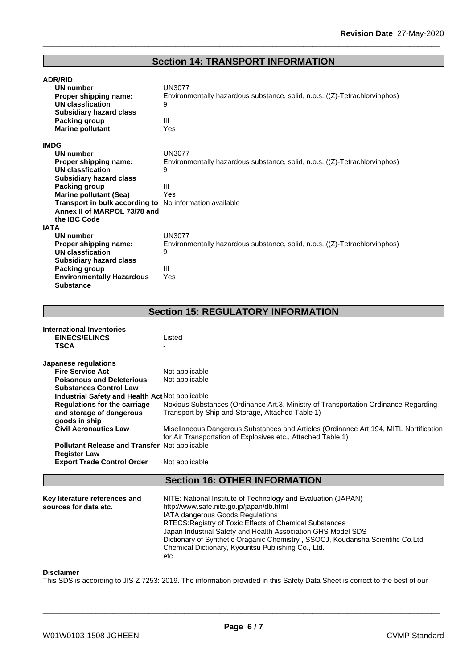## **Section 14: TRANSPORT INFORMATION**

| <b>ADR/RID</b>                   |                                                                            |
|----------------------------------|----------------------------------------------------------------------------|
| <b>UN number</b>                 | <b>UN3077</b>                                                              |
| Proper shipping name:            | Environmentally hazardous substance, solid, n.o.s. ((Z)-Tetrachlorvinphos) |
| <b>UN classfication</b>          | 9                                                                          |
| <b>Subsidiary hazard class</b>   |                                                                            |
| Packing group                    | Ш                                                                          |
| <b>Marine pollutant</b>          | Yes                                                                        |
| <b>IMDG</b>                      |                                                                            |
| UN number                        | <b>UN3077</b>                                                              |
| Proper shipping name:            | Environmentally hazardous substance, solid, n.o.s. ((Z)-Tetrachlorvinphos) |
| <b>UN classfication</b>          | 9                                                                          |
| <b>Subsidiary hazard class</b>   |                                                                            |
| Packing group                    | Ш                                                                          |
| <b>Marine pollutant (Sea)</b>    | Yes                                                                        |
| Transport in bulk according to   | No information available                                                   |
| Annex II of MARPOL 73/78 and     |                                                                            |
| the <b>IBC</b> Code              |                                                                            |
| <b>IATA</b>                      |                                                                            |
| UN number                        | <b>UN3077</b>                                                              |
| Proper shipping name:            | Environmentally hazardous substance, solid, n.o.s. ((Z)-Tetrachlorvinphos) |
| <b>UN classfication</b>          | 9                                                                          |
| <b>Subsidiary hazard class</b>   |                                                                            |
| Packing group                    | Ш                                                                          |
| <b>Environmentally Hazardous</b> | Yes                                                                        |
| <b>Substance</b>                 |                                                                            |

## **Section 15: REGULATORY INFORMATION**

| International Inventories                                                        |                                                                                                                                                                                                                                                                                                                                                                                                                           |
|----------------------------------------------------------------------------------|---------------------------------------------------------------------------------------------------------------------------------------------------------------------------------------------------------------------------------------------------------------------------------------------------------------------------------------------------------------------------------------------------------------------------|
| <b>EINECS/ELINCS</b>                                                             | Listed                                                                                                                                                                                                                                                                                                                                                                                                                    |
| <b>TSCA</b>                                                                      |                                                                                                                                                                                                                                                                                                                                                                                                                           |
| Japanese regulations                                                             |                                                                                                                                                                                                                                                                                                                                                                                                                           |
| <b>Fire Service Act</b>                                                          | Not applicable                                                                                                                                                                                                                                                                                                                                                                                                            |
| <b>Poisonous and Deleterious</b>                                                 | Not applicable                                                                                                                                                                                                                                                                                                                                                                                                            |
| <b>Substances Control Law</b>                                                    |                                                                                                                                                                                                                                                                                                                                                                                                                           |
| Industrial Safety and Health Act Not applicable                                  |                                                                                                                                                                                                                                                                                                                                                                                                                           |
| <b>Regulations for the carriage</b><br>and storage of dangerous<br>goods in ship | Noxious Substances (Ordinance Art.3, Ministry of Transportation Ordinance Regarding<br>Transport by Ship and Storage, Attached Table 1)                                                                                                                                                                                                                                                                                   |
| <b>Civil Aeronautics Law</b>                                                     | Misellaneous Dangerous Substances and Articles (Ordinance Art. 194, MITL Nortification<br>for Air Transportation of Explosives etc., Attached Table 1)                                                                                                                                                                                                                                                                    |
| <b>Pollutant Release and Transfer Not applicable</b>                             |                                                                                                                                                                                                                                                                                                                                                                                                                           |
| <b>Register Law</b><br><b>Export Trade Control Order</b>                         | Not applicable                                                                                                                                                                                                                                                                                                                                                                                                            |
|                                                                                  | <b>Section 16: OTHER INFORMATION</b>                                                                                                                                                                                                                                                                                                                                                                                      |
| Key literature references and<br>sources for data etc.                           | NITE: National Institute of Technology and Evaluation (JAPAN)<br>http://www.safe.nite.go.jp/japan/db.html<br>IATA dangerous Goods Regulations<br>RTECS: Registry of Toxic Effects of Chemical Substances<br>Japan Industrial Safety and Health Association GHS Model SDS<br>Dictionary of Synthetic Oraganic Chemistry, SSOCJ, Koudansha Scientific Co.Ltd.<br>Chemical Dictionary, Kyouritsu Publishing Co., Ltd.<br>etc |
|                                                                                  |                                                                                                                                                                                                                                                                                                                                                                                                                           |

### **Disclaimer**

This SDS is according to JIS Z 7253: 2019. The information provided in this Safety Data Sheet is correct to the best of our